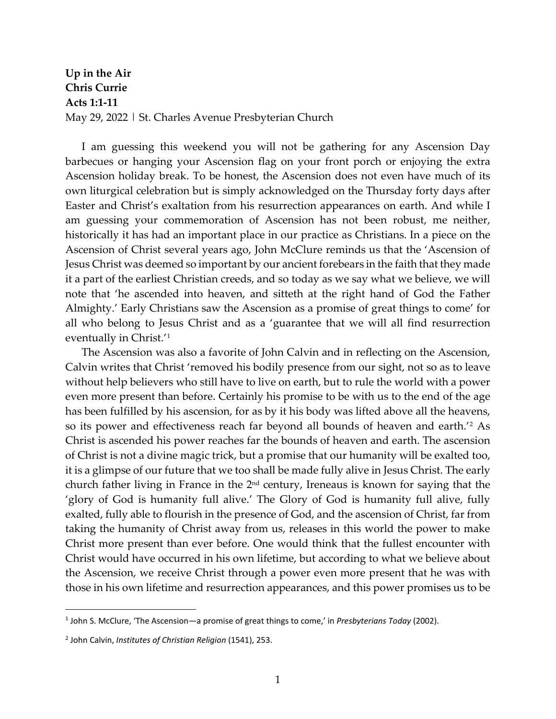**Up in the Air Chris Currie Acts 1:1-11** May 29, 2022 | St. Charles Avenue Presbyterian Church

I am guessing this weekend you will not be gathering for any Ascension Day barbecues or hanging your Ascension flag on your front porch or enjoying the extra Ascension holiday break. To be honest, the Ascension does not even have much of its own liturgical celebration but is simply acknowledged on the Thursday forty days after Easter and Christ's exaltation from his resurrection appearances on earth. And while I am guessing your commemoration of Ascension has not been robust, me neither, historically it has had an important place in our practice as Christians. In a piece on the Ascension of Christ several years ago, John McClure reminds us that the 'Ascension of Jesus Christ was deemed so important by our ancient forebears in the faith that they made it a part of the earliest Christian creeds, and so today as we say what we believe, we will note that 'he ascended into heaven, and sitteth at the right hand of God the Father Almighty.' Early Christians saw the Ascension as a promise of great things to come' for all who belong to Jesus Christ and as a 'guarantee that we will all find resurrection eventually in Christ.'[1](#page-0-0)

The Ascension was also a favorite of John Calvin and in reflecting on the Ascension, Calvin writes that Christ 'removed his bodily presence from our sight, not so as to leave without help believers who still have to live on earth, but to rule the world with a power even more present than before. Certainly his promise to be with us to the end of the age has been fulfilled by his ascension, for as by it his body was lifted above all the heavens, so its power and effectiveness reach far beyond all bounds of heaven and earth.'[2](#page-0-1) As Christ is ascended his power reaches far the bounds of heaven and earth. The ascension of Christ is not a divine magic trick, but a promise that our humanity will be exalted too, it is a glimpse of our future that we too shall be made fully alive in Jesus Christ. The early church father living in France in the 2<sup>nd</sup> century, Ireneaus is known for saying that the 'glory of God is humanity full alive.' The Glory of God is humanity full alive, fully exalted, fully able to flourish in the presence of God, and the ascension of Christ, far from taking the humanity of Christ away from us, releases in this world the power to make Christ more present than ever before. One would think that the fullest encounter with Christ would have occurred in his own lifetime, but according to what we believe about the Ascension, we receive Christ through a power even more present that he was with those in his own lifetime and resurrection appearances, and this power promises us to be

<span id="page-0-0"></span><sup>1</sup> John S. McClure, 'The Ascension—a promise of great things to come,' in *Presbyterians Today* (2002).

<span id="page-0-1"></span><sup>2</sup> John Calvin, *Institutes of Christian Religion* (1541), 253.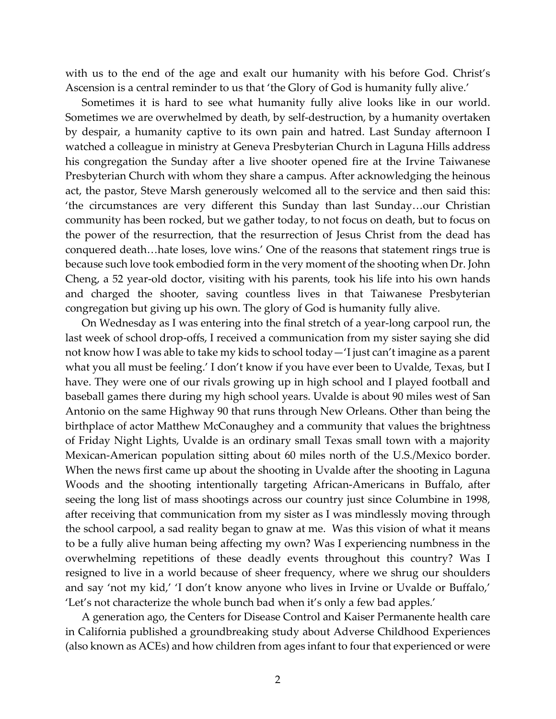with us to the end of the age and exalt our humanity with his before God. Christ's Ascension is a central reminder to us that 'the Glory of God is humanity fully alive.'

Sometimes it is hard to see what humanity fully alive looks like in our world. Sometimes we are overwhelmed by death, by self-destruction, by a humanity overtaken by despair, a humanity captive to its own pain and hatred. Last Sunday afternoon I watched a colleague in ministry at Geneva Presbyterian Church in Laguna Hills address his congregation the Sunday after a live shooter opened fire at the Irvine Taiwanese Presbyterian Church with whom they share a campus. After acknowledging the heinous act, the pastor, Steve Marsh generously welcomed all to the service and then said this: 'the circumstances are very different this Sunday than last Sunday…our Christian community has been rocked, but we gather today, to not focus on death, but to focus on the power of the resurrection, that the resurrection of Jesus Christ from the dead has conquered death…hate loses, love wins.' One of the reasons that statement rings true is because such love took embodied form in the very moment of the shooting when Dr. John Cheng, a 52 year-old doctor, visiting with his parents, took his life into his own hands and charged the shooter, saving countless lives in that Taiwanese Presbyterian congregation but giving up his own. The glory of God is humanity fully alive.

On Wednesday as I was entering into the final stretch of a year-long carpool run, the last week of school drop-offs, I received a communication from my sister saying she did not know how I was able to take my kids to school today—'I just can't imagine as a parent what you all must be feeling.' I don't know if you have ever been to Uvalde, Texas, but I have. They were one of our rivals growing up in high school and I played football and baseball games there during my high school years. Uvalde is about 90 miles west of San Antonio on the same Highway 90 that runs through New Orleans. Other than being the birthplace of actor Matthew McConaughey and a community that values the brightness of Friday Night Lights, Uvalde is an ordinary small Texas small town with a majority Mexican-American population sitting about 60 miles north of the U.S./Mexico border. When the news first came up about the shooting in Uvalde after the shooting in Laguna Woods and the shooting intentionally targeting African-Americans in Buffalo, after seeing the long list of mass shootings across our country just since Columbine in 1998, after receiving that communication from my sister as I was mindlessly moving through the school carpool, a sad reality began to gnaw at me. Was this vision of what it means to be a fully alive human being affecting my own? Was I experiencing numbness in the overwhelming repetitions of these deadly events throughout this country? Was I resigned to live in a world because of sheer frequency, where we shrug our shoulders and say 'not my kid,' 'I don't know anyone who lives in Irvine or Uvalde or Buffalo,' 'Let's not characterize the whole bunch bad when it's only a few bad apples.'

A generation ago, the Centers for Disease Control and Kaiser Permanente health care in California published a groundbreaking study about Adverse Childhood Experiences (also known as ACEs) and how children from ages infant to four that experienced or were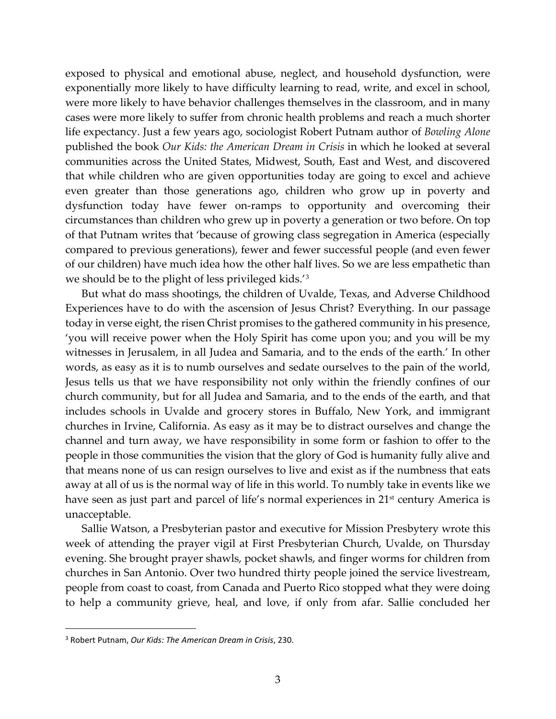exposed to physical and emotional abuse, neglect, and household dysfunction, were exponentially more likely to have difficulty learning to read, write, and excel in school, were more likely to have behavior challenges themselves in the classroom, and in many cases were more likely to suffer from chronic health problems and reach a much shorter life expectancy. Just a few years ago, sociologist Robert Putnam author of *Bowling Alone* published the book *Our Kids: the American Dream in Crisis* in which he looked at several communities across the United States, Midwest, South, East and West, and discovered that while children who are given opportunities today are going to excel and achieve even greater than those generations ago, children who grow up in poverty and dysfunction today have fewer on-ramps to opportunity and overcoming their circumstances than children who grew up in poverty a generation or two before. On top of that Putnam writes that 'because of growing class segregation in America (especially compared to previous generations), fewer and fewer successful people (and even fewer of our children) have much idea how the other half lives. So we are less empathetic than we should be to the plight of less privileged kids.'[3](#page-2-0)

But what do mass shootings, the children of Uvalde, Texas, and Adverse Childhood Experiences have to do with the ascension of Jesus Christ? Everything. In our passage today in verse eight, the risen Christ promises to the gathered community in his presence, 'you will receive power when the Holy Spirit has come upon you; and you will be my witnesses in Jerusalem, in all Judea and Samaria, and to the ends of the earth.' In other words, as easy as it is to numb ourselves and sedate ourselves to the pain of the world, Jesus tells us that we have responsibility not only within the friendly confines of our church community, but for all Judea and Samaria, and to the ends of the earth, and that includes schools in Uvalde and grocery stores in Buffalo, New York, and immigrant churches in Irvine, California. As easy as it may be to distract ourselves and change the channel and turn away, we have responsibility in some form or fashion to offer to the people in those communities the vision that the glory of God is humanity fully alive and that means none of us can resign ourselves to live and exist as if the numbness that eats away at all of us is the normal way of life in this world. To numbly take in events like we have seen as just part and parcel of life's normal experiences in 21<sup>st</sup> century America is unacceptable.

Sallie Watson, a Presbyterian pastor and executive for Mission Presbytery wrote this week of attending the prayer vigil at First Presbyterian Church, Uvalde, on Thursday evening. She brought prayer shawls, pocket shawls, and finger worms for children from churches in San Antonio. Over two hundred thirty people joined the service livestream, people from coast to coast, from Canada and Puerto Rico stopped what they were doing to help a community grieve, heal, and love, if only from afar. Sallie concluded her

<span id="page-2-0"></span><sup>3</sup> Robert Putnam, *Our Kids: The American Dream in Crisis*, 230.